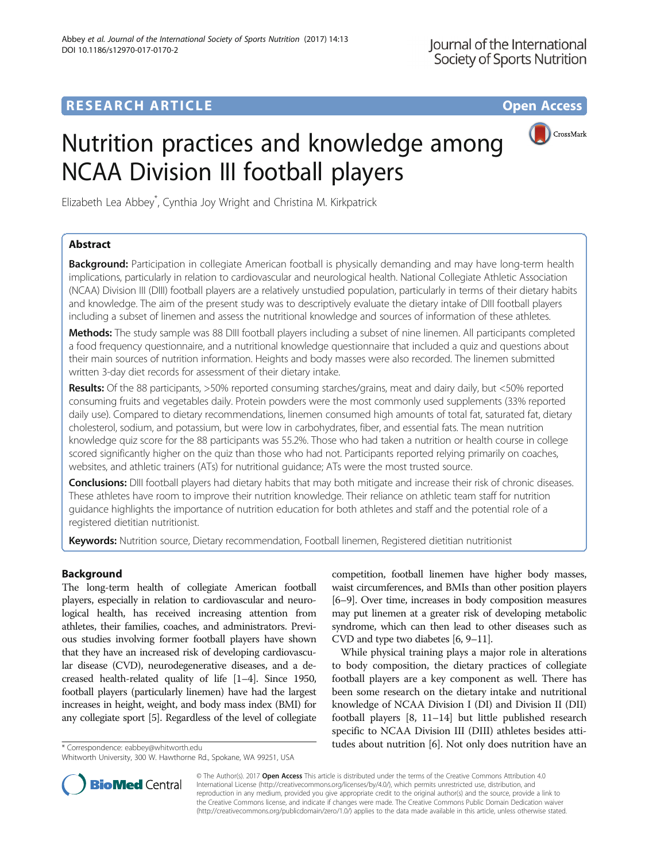# **RESEARCH ARTICLE Example 2018 12:00 Department of the CONNECTION CONNECTION CONNECTION CONNECTION**

# Nutrition practices and knowledge among NCAA Division III football players



Elizabeth Lea Abbey\* , Cynthia Joy Wright and Christina M. Kirkpatrick

# Abstract

**Background:** Participation in collegiate American football is physically demanding and may have long-term health implications, particularly in relation to cardiovascular and neurological health. National Collegiate Athletic Association (NCAA) Division III (DIII) football players are a relatively unstudied population, particularly in terms of their dietary habits and knowledge. The aim of the present study was to descriptively evaluate the dietary intake of DIII football players including a subset of linemen and assess the nutritional knowledge and sources of information of these athletes.

Methods: The study sample was 88 DIII football players including a subset of nine linemen. All participants completed a food frequency questionnaire, and a nutritional knowledge questionnaire that included a quiz and questions about their main sources of nutrition information. Heights and body masses were also recorded. The linemen submitted written 3-day diet records for assessment of their dietary intake.

Results: Of the 88 participants, >50% reported consuming starches/grains, meat and dairy daily, but <50% reported consuming fruits and vegetables daily. Protein powders were the most commonly used supplements (33% reported daily use). Compared to dietary recommendations, linemen consumed high amounts of total fat, saturated fat, dietary cholesterol, sodium, and potassium, but were low in carbohydrates, fiber, and essential fats. The mean nutrition knowledge quiz score for the 88 participants was 55.2%. Those who had taken a nutrition or health course in college scored significantly higher on the quiz than those who had not. Participants reported relying primarily on coaches, websites, and athletic trainers (ATs) for nutritional guidance; ATs were the most trusted source.

Conclusions: DIII football players had dietary habits that may both mitigate and increase their risk of chronic diseases. These athletes have room to improve their nutrition knowledge. Their reliance on athletic team staff for nutrition guidance highlights the importance of nutrition education for both athletes and staff and the potential role of a registered dietitian nutritionist.

Keywords: Nutrition source, Dietary recommendation, Football linemen, Registered dietitian nutritionist

# Background

The long-term health of collegiate American football players, especially in relation to cardiovascular and neurological health, has received increasing attention from athletes, their families, coaches, and administrators. Previous studies involving former football players have shown that they have an increased risk of developing cardiovascular disease (CVD), neurodegenerative diseases, and a decreased health-related quality of life [\[1](#page-7-0)–[4](#page-7-0)]. Since 1950, football players (particularly linemen) have had the largest increases in height, weight, and body mass index (BMI) for any collegiate sport [\[5\]](#page-7-0). Regardless of the level of collegiate

competition, football linemen have higher body masses, waist circumferences, and BMIs than other position players [[6](#page-8-0)–[9\]](#page-8-0). Over time, increases in body composition measures may put linemen at a greater risk of developing metabolic syndrome, which can then lead to other diseases such as CVD and type two diabetes [\[6, 9](#page-8-0)–[11](#page-8-0)].

While physical training plays a major role in alterations to body composition, the dietary practices of collegiate football players are a key component as well. There has been some research on the dietary intake and nutritional knowledge of NCAA Division I (DI) and Division II (DII) football players [[8](#page-8-0), [11](#page-8-0)–[14](#page-8-0)] but little published research specific to NCAA Division III (DIII) athletes besides atti\* Correspondence: [eabbey@whitworth.edu](mailto:eabbey@whitworth.edu) **havaille about nutrition** [\[6](#page-8-0)]. Not only does nutrition have an



© The Author(s). 2017 **Open Access** This article is distributed under the terms of the Creative Commons Attribution 4.0 International License [\(http://creativecommons.org/licenses/by/4.0/](http://creativecommons.org/licenses/by/4.0/)), which permits unrestricted use, distribution, and reproduction in any medium, provided you give appropriate credit to the original author(s) and the source, provide a link to the Creative Commons license, and indicate if changes were made. The Creative Commons Public Domain Dedication waiver [\(http://creativecommons.org/publicdomain/zero/1.0/](http://creativecommons.org/publicdomain/zero/1.0/)) applies to the data made available in this article, unless otherwise stated.

Whitworth University, 300 W. Hawthorne Rd., Spokane, WA 99251, USA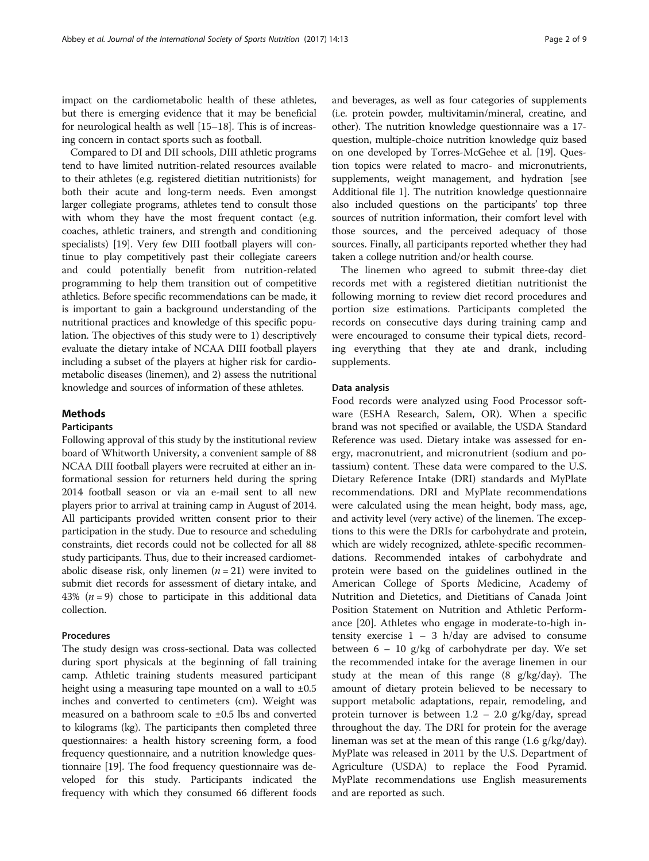impact on the cardiometabolic health of these athletes, but there is emerging evidence that it may be beneficial for neurological health as well [\[15](#page-8-0)–[18\]](#page-8-0). This is of increasing concern in contact sports such as football.

Compared to DI and DII schools, DIII athletic programs tend to have limited nutrition-related resources available to their athletes (e.g. registered dietitian nutritionists) for both their acute and long-term needs. Even amongst larger collegiate programs, athletes tend to consult those with whom they have the most frequent contact (e.g. coaches, athletic trainers, and strength and conditioning specialists) [[19\]](#page-8-0). Very few DIII football players will continue to play competitively past their collegiate careers and could potentially benefit from nutrition-related programming to help them transition out of competitive athletics. Before specific recommendations can be made, it is important to gain a background understanding of the nutritional practices and knowledge of this specific population. The objectives of this study were to 1) descriptively evaluate the dietary intake of NCAA DIII football players including a subset of the players at higher risk for cardiometabolic diseases (linemen), and 2) assess the nutritional knowledge and sources of information of these athletes.

# Methods

## Participants

Following approval of this study by the institutional review board of Whitworth University, a convenient sample of 88 NCAA DIII football players were recruited at either an informational session for returners held during the spring 2014 football season or via an e-mail sent to all new players prior to arrival at training camp in August of 2014. All participants provided written consent prior to their participation in the study. Due to resource and scheduling constraints, diet records could not be collected for all 88 study participants. Thus, due to their increased cardiometabolic disease risk, only linemen  $(n = 21)$  were invited to submit diet records for assessment of dietary intake, and 43%  $(n = 9)$  chose to participate in this additional data collection.

#### Procedures

The study design was cross-sectional. Data was collected during sport physicals at the beginning of fall training camp. Athletic training students measured participant height using a measuring tape mounted on a wall to  $\pm 0.5$ inches and converted to centimeters (cm). Weight was measured on a bathroom scale to  $\pm 0.5$  lbs and converted to kilograms (kg). The participants then completed three questionnaires: a health history screening form, a food frequency questionnaire, and a nutrition knowledge questionnaire [\[19\]](#page-8-0). The food frequency questionnaire was developed for this study. Participants indicated the frequency with which they consumed 66 different foods and beverages, as well as four categories of supplements (i.e. protein powder, multivitamin/mineral, creatine, and other). The nutrition knowledge questionnaire was a 17 question, multiple-choice nutrition knowledge quiz based on one developed by Torres-McGehee et al. [\[19\]](#page-8-0). Question topics were related to macro- and micronutrients, supplements, weight management, and hydration [see Additional file [1\]](#page-7-0). The nutrition knowledge questionnaire also included questions on the participants' top three sources of nutrition information, their comfort level with those sources, and the perceived adequacy of those sources. Finally, all participants reported whether they had taken a college nutrition and/or health course.

The linemen who agreed to submit three-day diet records met with a registered dietitian nutritionist the following morning to review diet record procedures and portion size estimations. Participants completed the records on consecutive days during training camp and were encouraged to consume their typical diets, recording everything that they ate and drank, including supplements.

## Data analysis

Food records were analyzed using Food Processor software (ESHA Research, Salem, OR). When a specific brand was not specified or available, the USDA Standard Reference was used. Dietary intake was assessed for energy, macronutrient, and micronutrient (sodium and potassium) content. These data were compared to the U.S. Dietary Reference Intake (DRI) standards and MyPlate recommendations. DRI and MyPlate recommendations were calculated using the mean height, body mass, age, and activity level (very active) of the linemen. The exceptions to this were the DRIs for carbohydrate and protein, which are widely recognized, athlete-specific recommendations. Recommended intakes of carbohydrate and protein were based on the guidelines outlined in the American College of Sports Medicine, Academy of Nutrition and Dietetics, and Dietitians of Canada Joint Position Statement on Nutrition and Athletic Performance [\[20](#page-8-0)]. Athletes who engage in moderate-to-high intensity exercise  $1 - 3$  h/day are advised to consume between 6 – 10 g/kg of carbohydrate per day. We set the recommended intake for the average linemen in our study at the mean of this range (8 g/kg/day). The amount of dietary protein believed to be necessary to support metabolic adaptations, repair, remodeling, and protein turnover is between  $1.2 - 2.0$  g/kg/day, spread throughout the day. The DRI for protein for the average lineman was set at the mean of this range (1.6 g/kg/day). MyPlate was released in 2011 by the U.S. Department of Agriculture (USDA) to replace the Food Pyramid. MyPlate recommendations use English measurements and are reported as such.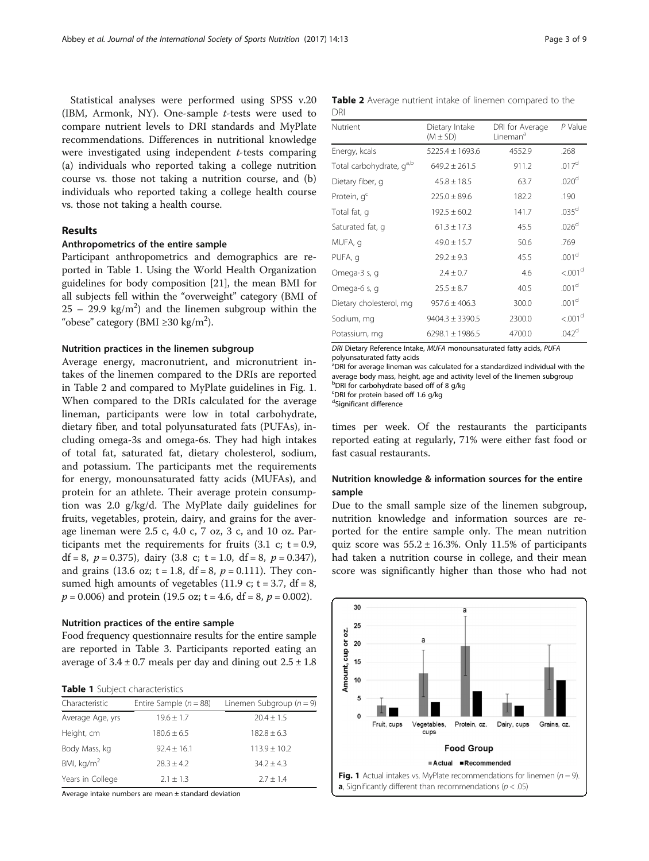Statistical analyses were performed using SPSS v.20 (IBM, Armonk, NY). One-sample t-tests were used to compare nutrient levels to DRI standards and MyPlate recommendations. Differences in nutritional knowledge were investigated using independent t-tests comparing (a) individuals who reported taking a college nutrition course vs. those not taking a nutrition course, and (b) individuals who reported taking a college health course vs. those not taking a health course.

# Results

## Anthropometrics of the entire sample

Participant anthropometrics and demographics are reported in Table 1. Using the World Health Organization guidelines for body composition [\[21\]](#page-8-0), the mean BMI for all subjects fell within the "overweight" category (BMI of  $25 - 29.9$  kg/m<sup>2</sup>) and the linemen subgroup within the "obese" category (BMI ≥30 kg/m<sup>2</sup>).

#### Nutrition practices in the linemen subgroup

Average energy, macronutrient, and micronutrient intakes of the linemen compared to the DRIs are reported in Table 2 and compared to MyPlate guidelines in Fig. 1. When compared to the DRIs calculated for the average lineman, participants were low in total carbohydrate, dietary fiber, and total polyunsaturated fats (PUFAs), including omega-3s and omega-6s. They had high intakes of total fat, saturated fat, dietary cholesterol, sodium, and potassium. The participants met the requirements for energy, monounsaturated fatty acids (MUFAs), and protein for an athlete. Their average protein consumption was 2.0 g/kg/d. The MyPlate daily guidelines for fruits, vegetables, protein, dairy, and grains for the average lineman were 2.5 c, 4.0 c, 7 oz, 3 c, and 10 oz. Participants met the requirements for fruits  $(3.1 \text{ c}; t = 0.9,$ df = 8,  $p = 0.375$ ), dairy (3.8 c; t = 1.0, df = 8,  $p = 0.347$ ), and grains (13.6 oz;  $t = 1.8$ ,  $df = 8$ ,  $p = 0.111$ ). They consumed high amounts of vegetables (11.9 c;  $t = 3.7$ ,  $df = 8$ ,  $p = 0.006$ ) and protein (19.5 oz; t = 4.6, df = 8,  $p = 0.002$ ).

## Nutrition practices of the entire sample

Food frequency questionnaire results for the entire sample are reported in Table [3](#page-3-0). Participants reported eating an average of  $3.4 \pm 0.7$  meals per day and dining out  $2.5 \pm 1.8$ 

|  |  | Table 1 Subject characteristics |
|--|--|---------------------------------|
|--|--|---------------------------------|

| Characteristic   | Entire Sample $(n = 88)$ | Linemen Subgroup ( $n = 9$ ) |  |  |
|------------------|--------------------------|------------------------------|--|--|
| Average Age, yrs | $19.6 \pm 1.7$           | $20.4 + 1.5$                 |  |  |
| Height, cm       | $180.6 \pm 6.5$          | $182.8 \pm 6.3$              |  |  |
| Body Mass, kg    | $92.4 + 16.1$            | $113.9 + 10.2$               |  |  |
| BMI, $kg/m2$     | $78.3 + 4.7$             | $34.7 + 4.3$                 |  |  |
| Years in College | $2.1 + 1.3$              | $2.7 + 1.4$                  |  |  |
|                  |                          |                              |  |  |

Average intake numbers are mean ± standard deviation

Table 2 Average nutrient intake of linemen compared to the DRI

| <b>Nutrient</b>                      | Dietary Intake<br>$(M \pm SD)$ | DRI for Average<br>l ineman <sup>a</sup> | P Value            |
|--------------------------------------|--------------------------------|------------------------------------------|--------------------|
| Energy, kcals                        | $5225.4 \pm 1693.6$            | 4552.9                                   | .268               |
| Total carbohydrate, g <sup>a,b</sup> | $649.2 \pm 261.5$              | 911.2                                    | .017 <sup>d</sup>  |
| Dietary fiber, q                     | $45.8 \pm 18.5$                | 63.7                                     | .020 <sup>d</sup>  |
| Protein, q <sup>c</sup>              | $225.0 \pm 89.6$               | 182.2                                    | .190               |
| Total fat, g                         | $192.5 \pm 60.2$               | 141.7                                    | .035 <sup>d</sup>  |
| Saturated fat, q                     | $61.3 \pm 17.3$                | 45.5                                     | .026 <sup>d</sup>  |
| MUFA, q                              | $49.0 \pm 15.7$                | 50.6                                     | .769               |
| PUFA, q                              | $29.2 \pm 9.3$                 | 45.5                                     | .001 <sup>d</sup>  |
| Omega-3 s, g                         | $2.4 \pm 0.7$                  | 4.6                                      | < 001 <sup>d</sup> |
| Omega-6 s, g                         | $25.5 \pm 8.7$                 | 40.5                                     | .001 <sup>d</sup>  |
| Dietary cholesterol, mg              | $957.6 \pm 406.3$              | 300.0                                    | .001 <sup>d</sup>  |
| Sodium, mg                           | $9404.3 \pm 3390.5$            | 2300.0                                   | < 001 <sup>d</sup> |
| Potassium, mg                        | $6298.1 \pm 1986.5$            | 4700.0                                   | .042 <sup>d</sup>  |

DRI Dietary Reference Intake, MUFA monounsaturated fatty acids, PUFA polyunsaturated fatty acids

<sup>a</sup>DRI for average lineman was calculated for a standardized individual with the average body mass, height, age and activity level of the linemen subgroup b DRI for carbohydrate based off of 8 g/kg <sup>c</sup>DRI for protein based off 1.6 g/kg

dSignificant difference

times per week. Of the restaurants the participants reported eating at regularly, 71% were either fast food or fast casual restaurants.

## Nutrition knowledge & information sources for the entire sample

Due to the small sample size of the linemen subgroup, nutrition knowledge and information sources are reported for the entire sample only. The mean nutrition quiz score was  $55.2 \pm 16.3$ %. Only 11.5% of participants had taken a nutrition course in college, and their mean score was significantly higher than those who had not

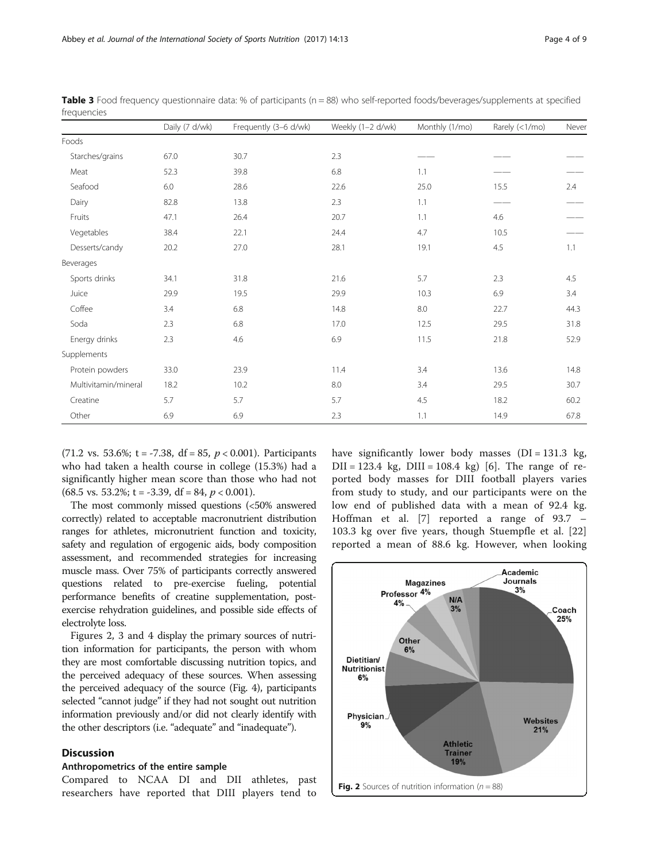(71.2 vs. 53.6%;  $t = -7.38$ ,  $df = 85$ ,  $p < 0.001$ ). Participants who had taken a health course in college (15.3%) had a significantly higher mean score than those who had not  $(68.5 \text{ vs. } 53.2\%; t = -3.39, df = 84, p < 0.001).$ 

The most commonly missed questions (<50% answered correctly) related to acceptable macronutrient distribution ranges for athletes, micronutrient function and toxicity, safety and regulation of ergogenic aids, body composition assessment, and recommended strategies for increasing muscle mass. Over 75% of participants correctly answered questions related to pre-exercise fueling, potential performance benefits of creatine supplementation, postexercise rehydration guidelines, and possible side effects of electrolyte loss.

Figures 2, [3](#page-4-0) and [4](#page-4-0) display the primary sources of nutrition information for participants, the person with whom they are most comfortable discussing nutrition topics, and the perceived adequacy of these sources. When assessing the perceived adequacy of the source (Fig. [4\)](#page-4-0), participants selected "cannot judge" if they had not sought out nutrition information previously and/or did not clearly identify with the other descriptors (i.e. "adequate" and "inadequate").

# **Discussion**

#### Anthropometrics of the entire sample

Compared to NCAA DI and DII athletes, past researchers have reported that DIII players tend to have significantly lower body masses  $(DI = 131.3 \text{ kg})$ ,  $DII = 123.4$  kg,  $DIII = 108.4$  kg) [[6\]](#page-8-0). The range of reported body masses for DIII football players varies from study to study, and our participants were on the low end of published data with a mean of 92.4 kg. Hoffman et al. [[7\]](#page-8-0) reported a range of 93.7 – 103.3 kg over five years, though Stuempfle et al. [\[22](#page-8-0)] reported a mean of 88.6 kg. However, when looking

<span id="page-3-0"></span>

|             | Table 3 Food frequency questionnaire data: % of participants (n = 88) who self-reported foods/beverages/supplements at specified |  |  |
|-------------|----------------------------------------------------------------------------------------------------------------------------------|--|--|
| frequencies |                                                                                                                                  |  |  |
|             |                                                                                                                                  |  |  |

|                      | Daily (7 d/wk) | Frequently (3-6 d/wk) | Weekly (1-2 d/wk) | Monthly (1/mo) | Rarely (<1/mo) | Never |
|----------------------|----------------|-----------------------|-------------------|----------------|----------------|-------|
| Foods                |                |                       |                   |                |                |       |
| Starches/grains      | 67.0           | 30.7                  | 2.3               |                |                |       |
| Meat                 | 52.3           | 39.8                  | 6.8               | 1.1            |                |       |
| Seafood              | 6.0            | 28.6                  | 22.6              | 25.0           | 15.5           | 2.4   |
| Dairy                | 82.8           | 13.8                  | 2.3               | 1.1            |                |       |
| Fruits               | 47.1           | 26.4                  | 20.7              | 1.1            | 4.6            |       |
| Vegetables           | 38.4           | 22.1                  | 24.4              | 4.7            | 10.5           |       |
| Desserts/candy       | 20.2           | 27.0                  | 28.1              | 19.1           | 4.5            | 1.1   |
| Beverages            |                |                       |                   |                |                |       |
| Sports drinks        | 34.1           | 31.8                  | 21.6              | 5.7            | 2.3            | 4.5   |
| Juice                | 29.9           | 19.5                  | 29.9              | 10.3           | 6.9            | 3.4   |
| Coffee               | 3.4            | 6.8                   | 14.8              | 8.0            | 22.7           | 44.3  |
| Soda                 | 2.3            | 6.8                   | 17.0              | 12.5           | 29.5           | 31.8  |
| Energy drinks        | 2.3            | 4.6                   | 6.9               | 11.5           | 21.8           | 52.9  |
| Supplements          |                |                       |                   |                |                |       |
| Protein powders      | 33.0           | 23.9                  | 11.4              | 3.4            | 13.6           | 14.8  |
| Multivitamin/mineral | 18.2           | 10.2                  | 8.0               | 3.4            | 29.5           | 30.7  |
| Creatine             | 5.7            | 5.7                   | 5.7               | 4.5            | 18.2           | 60.2  |
| Other                | 6.9            | 6.9                   | 2.3               | 1.1            | 14.9           | 67.8  |
|                      |                |                       |                   |                |                |       |

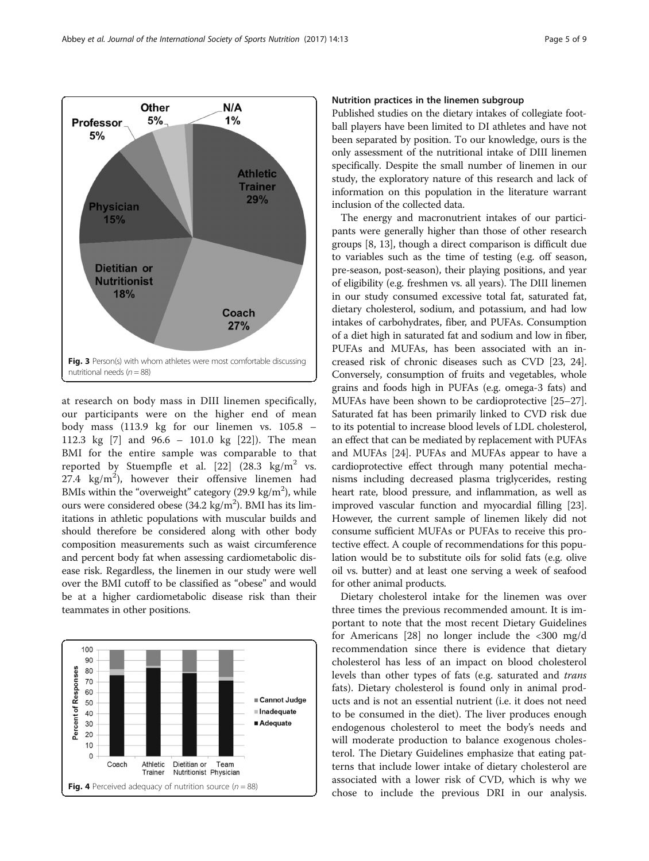<span id="page-4-0"></span>Abbey et al. Journal of the International Society of Sports Nutrition (2017) 14:13 Page 5 of 9



at research on body mass in DIII linemen specifically, our participants were on the higher end of mean body mass (113.9 kg for our linemen vs. 105.8 – 112.3 kg [[7\]](#page-8-0) and 96.6 – 101.0 kg [[22\]](#page-8-0)). The mean BMI for the entire sample was comparable to that reported by Stuempfle et al.  $[22]$  $[22]$   $(28.3 \text{ kg/m}^2 \text{ vs.}$ 27.4  $\text{kg/m}^2$ ), however their offensive linemen had BMIs within the "overweight" category (29.9 kg/m<sup>2</sup>), while ours were considered obese (34.2 kg/m<sup>2</sup>). BMI has its limitations in athletic populations with muscular builds and should therefore be considered along with other body composition measurements such as waist circumference and percent body fat when assessing cardiometabolic disease risk. Regardless, the linemen in our study were well over the BMI cutoff to be classified as "obese" and would be at a higher cardiometabolic disease risk than their teammates in other positions.



## Nutrition practices in the linemen subgroup

Published studies on the dietary intakes of collegiate football players have been limited to DI athletes and have not been separated by position. To our knowledge, ours is the only assessment of the nutritional intake of DIII linemen specifically. Despite the small number of linemen in our study, the exploratory nature of this research and lack of information on this population in the literature warrant inclusion of the collected data.

The energy and macronutrient intakes of our participants were generally higher than those of other research groups [\[8](#page-8-0), [13\]](#page-8-0), though a direct comparison is difficult due to variables such as the time of testing (e.g. off season, pre-season, post-season), their playing positions, and year of eligibility (e.g. freshmen vs. all years). The DIII linemen in our study consumed excessive total fat, saturated fat, dietary cholesterol, sodium, and potassium, and had low intakes of carbohydrates, fiber, and PUFAs. Consumption of a diet high in saturated fat and sodium and low in fiber, PUFAs and MUFAs, has been associated with an increased risk of chronic diseases such as CVD [\[23, 24](#page-8-0)]. Conversely, consumption of fruits and vegetables, whole grains and foods high in PUFAs (e.g. omega-3 fats) and MUFAs have been shown to be cardioprotective [\[25](#page-8-0)–[27](#page-8-0)]. Saturated fat has been primarily linked to CVD risk due to its potential to increase blood levels of LDL cholesterol, an effect that can be mediated by replacement with PUFAs and MUFAs [\[24](#page-8-0)]. PUFAs and MUFAs appear to have a cardioprotective effect through many potential mechanisms including decreased plasma triglycerides, resting heart rate, blood pressure, and inflammation, as well as improved vascular function and myocardial filling [[23](#page-8-0)]. However, the current sample of linemen likely did not consume sufficient MUFAs or PUFAs to receive this protective effect. A couple of recommendations for this population would be to substitute oils for solid fats (e.g. olive oil vs. butter) and at least one serving a week of seafood for other animal products.

Dietary cholesterol intake for the linemen was over three times the previous recommended amount. It is important to note that the most recent Dietary Guidelines for Americans [[28](#page-8-0)] no longer include the <300 mg/d recommendation since there is evidence that dietary cholesterol has less of an impact on blood cholesterol levels than other types of fats (e.g. saturated and trans fats). Dietary cholesterol is found only in animal products and is not an essential nutrient (i.e. it does not need to be consumed in the diet). The liver produces enough endogenous cholesterol to meet the body's needs and will moderate production to balance exogenous cholesterol. The Dietary Guidelines emphasize that eating patterns that include lower intake of dietary cholesterol are associated with a lower risk of CVD, which is why we chose to include the previous DRI in our analysis.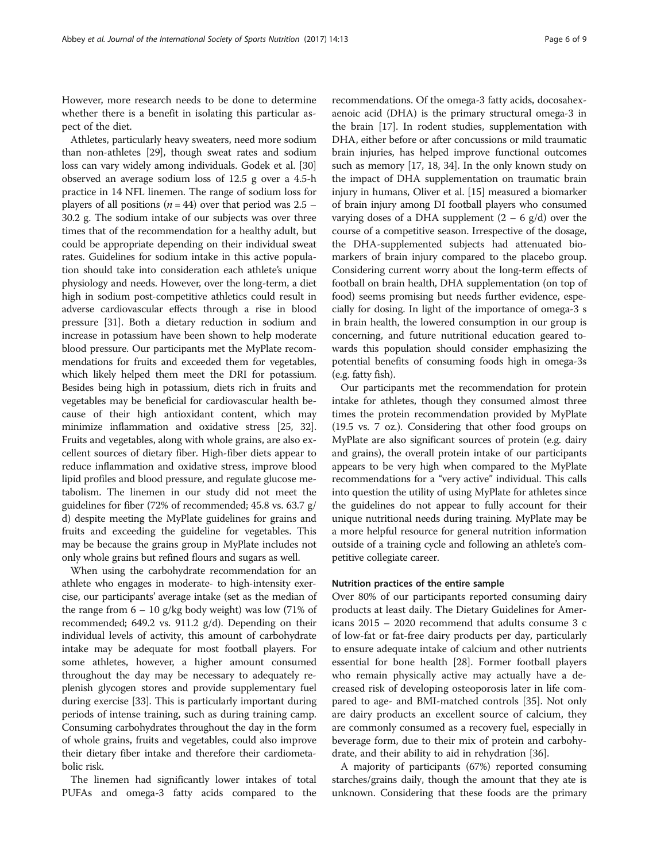However, more research needs to be done to determine whether there is a benefit in isolating this particular aspect of the diet.

Athletes, particularly heavy sweaters, need more sodium than non-athletes [\[29\]](#page-8-0), though sweat rates and sodium loss can vary widely among individuals. Godek et al. [[30](#page-8-0)] observed an average sodium loss of 12.5 g over a 4.5-h practice in 14 NFL linemen. The range of sodium loss for players of all positions ( $n = 44$ ) over that period was 2.5 – 30.2 g. The sodium intake of our subjects was over three times that of the recommendation for a healthy adult, but could be appropriate depending on their individual sweat rates. Guidelines for sodium intake in this active population should take into consideration each athlete's unique physiology and needs. However, over the long-term, a diet high in sodium post-competitive athletics could result in adverse cardiovascular effects through a rise in blood pressure [\[31](#page-8-0)]. Both a dietary reduction in sodium and increase in potassium have been shown to help moderate blood pressure. Our participants met the MyPlate recommendations for fruits and exceeded them for vegetables, which likely helped them meet the DRI for potassium. Besides being high in potassium, diets rich in fruits and vegetables may be beneficial for cardiovascular health because of their high antioxidant content, which may minimize inflammation and oxidative stress [\[25, 32](#page-8-0)]. Fruits and vegetables, along with whole grains, are also excellent sources of dietary fiber. High-fiber diets appear to reduce inflammation and oxidative stress, improve blood lipid profiles and blood pressure, and regulate glucose metabolism. The linemen in our study did not meet the guidelines for fiber (72% of recommended; 45.8 vs. 63.7 g/ d) despite meeting the MyPlate guidelines for grains and fruits and exceeding the guideline for vegetables. This may be because the grains group in MyPlate includes not only whole grains but refined flours and sugars as well.

When using the carbohydrate recommendation for an athlete who engages in moderate- to high-intensity exercise, our participants' average intake (set as the median of the range from  $6 - 10$  g/kg body weight) was low (71% of recommended; 649.2 vs. 911.2 g/d). Depending on their individual levels of activity, this amount of carbohydrate intake may be adequate for most football players. For some athletes, however, a higher amount consumed throughout the day may be necessary to adequately replenish glycogen stores and provide supplementary fuel during exercise [\[33\]](#page-8-0). This is particularly important during periods of intense training, such as during training camp. Consuming carbohydrates throughout the day in the form of whole grains, fruits and vegetables, could also improve their dietary fiber intake and therefore their cardiometabolic risk.

The linemen had significantly lower intakes of total PUFAs and omega-3 fatty acids compared to the recommendations. Of the omega-3 fatty acids, docosahexaenoic acid (DHA) is the primary structural omega-3 in the brain [[17](#page-8-0)]. In rodent studies, supplementation with DHA, either before or after concussions or mild traumatic brain injuries, has helped improve functional outcomes such as memory [\[17](#page-8-0), [18, 34\]](#page-8-0). In the only known study on the impact of DHA supplementation on traumatic brain injury in humans, Oliver et al. [\[15\]](#page-8-0) measured a biomarker of brain injury among DI football players who consumed varying doses of a DHA supplement  $(2 - 6 g/d)$  over the course of a competitive season. Irrespective of the dosage, the DHA-supplemented subjects had attenuated biomarkers of brain injury compared to the placebo group. Considering current worry about the long-term effects of football on brain health, DHA supplementation (on top of food) seems promising but needs further evidence, especially for dosing. In light of the importance of omega-3 s in brain health, the lowered consumption in our group is concerning, and future nutritional education geared towards this population should consider emphasizing the potential benefits of consuming foods high in omega-3s (e.g. fatty fish).

Our participants met the recommendation for protein intake for athletes, though they consumed almost three times the protein recommendation provided by MyPlate (19.5 vs. 7 oz.). Considering that other food groups on MyPlate are also significant sources of protein (e.g. dairy and grains), the overall protein intake of our participants appears to be very high when compared to the MyPlate recommendations for a "very active" individual. This calls into question the utility of using MyPlate for athletes since the guidelines do not appear to fully account for their unique nutritional needs during training. MyPlate may be a more helpful resource for general nutrition information outside of a training cycle and following an athlete's competitive collegiate career.

#### Nutrition practices of the entire sample

Over 80% of our participants reported consuming dairy products at least daily. The Dietary Guidelines for Americans 2015 – 2020 recommend that adults consume 3 c of low-fat or fat-free dairy products per day, particularly to ensure adequate intake of calcium and other nutrients essential for bone health [\[28\]](#page-8-0). Former football players who remain physically active may actually have a decreased risk of developing osteoporosis later in life compared to age- and BMI-matched controls [[35\]](#page-8-0). Not only are dairy products an excellent source of calcium, they are commonly consumed as a recovery fuel, especially in beverage form, due to their mix of protein and carbohydrate, and their ability to aid in rehydration [\[36\]](#page-8-0).

A majority of participants (67%) reported consuming starches/grains daily, though the amount that they ate is unknown. Considering that these foods are the primary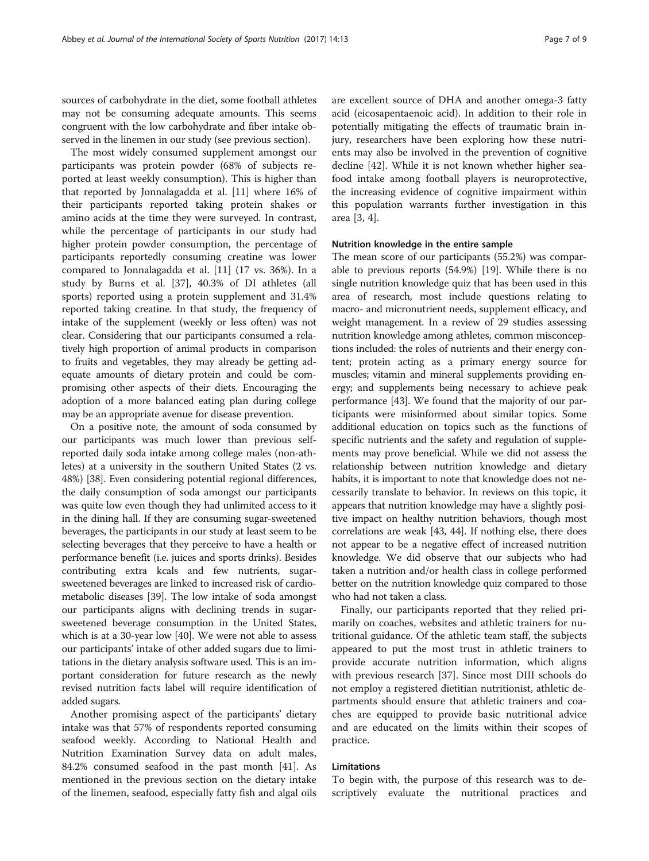sources of carbohydrate in the diet, some football athletes may not be consuming adequate amounts. This seems congruent with the low carbohydrate and fiber intake observed in the linemen in our study (see previous section).

The most widely consumed supplement amongst our participants was protein powder (68% of subjects reported at least weekly consumption). This is higher than that reported by Jonnalagadda et al. [[11\]](#page-8-0) where 16% of their participants reported taking protein shakes or amino acids at the time they were surveyed. In contrast, while the percentage of participants in our study had higher protein powder consumption, the percentage of participants reportedly consuming creatine was lower compared to Jonnalagadda et al. [\[11](#page-8-0)] (17 vs. 36%). In a study by Burns et al. [[37](#page-8-0)], 40.3% of DI athletes (all sports) reported using a protein supplement and 31.4% reported taking creatine. In that study, the frequency of intake of the supplement (weekly or less often) was not clear. Considering that our participants consumed a relatively high proportion of animal products in comparison to fruits and vegetables, they may already be getting adequate amounts of dietary protein and could be compromising other aspects of their diets. Encouraging the adoption of a more balanced eating plan during college may be an appropriate avenue for disease prevention.

On a positive note, the amount of soda consumed by our participants was much lower than previous selfreported daily soda intake among college males (non-athletes) at a university in the southern United States (2 vs. 48%) [\[38\]](#page-8-0). Even considering potential regional differences, the daily consumption of soda amongst our participants was quite low even though they had unlimited access to it in the dining hall. If they are consuming sugar-sweetened beverages, the participants in our study at least seem to be selecting beverages that they perceive to have a health or performance benefit (i.e. juices and sports drinks). Besides contributing extra kcals and few nutrients, sugarsweetened beverages are linked to increased risk of cardiometabolic diseases [\[39\]](#page-8-0). The low intake of soda amongst our participants aligns with declining trends in sugarsweetened beverage consumption in the United States, which is at a 30-year low [[40](#page-8-0)]. We were not able to assess our participants' intake of other added sugars due to limitations in the dietary analysis software used. This is an important consideration for future research as the newly revised nutrition facts label will require identification of added sugars.

Another promising aspect of the participants' dietary intake was that 57% of respondents reported consuming seafood weekly. According to National Health and Nutrition Examination Survey data on adult males, 84.2% consumed seafood in the past month [\[41\]](#page-8-0). As mentioned in the previous section on the dietary intake of the linemen, seafood, especially fatty fish and algal oils are excellent source of DHA and another omega-3 fatty acid (eicosapentaenoic acid). In addition to their role in potentially mitigating the effects of traumatic brain injury, researchers have been exploring how these nutrients may also be involved in the prevention of cognitive decline [[42](#page-8-0)]. While it is not known whether higher seafood intake among football players is neuroprotective, the increasing evidence of cognitive impairment within this population warrants further investigation in this area [[3, 4\]](#page-7-0).

#### Nutrition knowledge in the entire sample

The mean score of our participants (55.2%) was comparable to previous reports (54.9%) [\[19\]](#page-8-0). While there is no single nutrition knowledge quiz that has been used in this area of research, most include questions relating to macro- and micronutrient needs, supplement efficacy, and weight management. In a review of 29 studies assessing nutrition knowledge among athletes, common misconceptions included: the roles of nutrients and their energy content; protein acting as a primary energy source for muscles; vitamin and mineral supplements providing energy; and supplements being necessary to achieve peak performance [[43](#page-8-0)]. We found that the majority of our participants were misinformed about similar topics. Some additional education on topics such as the functions of specific nutrients and the safety and regulation of supplements may prove beneficial. While we did not assess the relationship between nutrition knowledge and dietary habits, it is important to note that knowledge does not necessarily translate to behavior. In reviews on this topic, it appears that nutrition knowledge may have a slightly positive impact on healthy nutrition behaviors, though most correlations are weak [\[43, 44\]](#page-8-0). If nothing else, there does not appear to be a negative effect of increased nutrition knowledge. We did observe that our subjects who had taken a nutrition and/or health class in college performed better on the nutrition knowledge quiz compared to those who had not taken a class.

Finally, our participants reported that they relied primarily on coaches, websites and athletic trainers for nutritional guidance. Of the athletic team staff, the subjects appeared to put the most trust in athletic trainers to provide accurate nutrition information, which aligns with previous research [[37](#page-8-0)]. Since most DIII schools do not employ a registered dietitian nutritionist, athletic departments should ensure that athletic trainers and coaches are equipped to provide basic nutritional advice and are educated on the limits within their scopes of practice.

#### Limitations

To begin with, the purpose of this research was to descriptively evaluate the nutritional practices and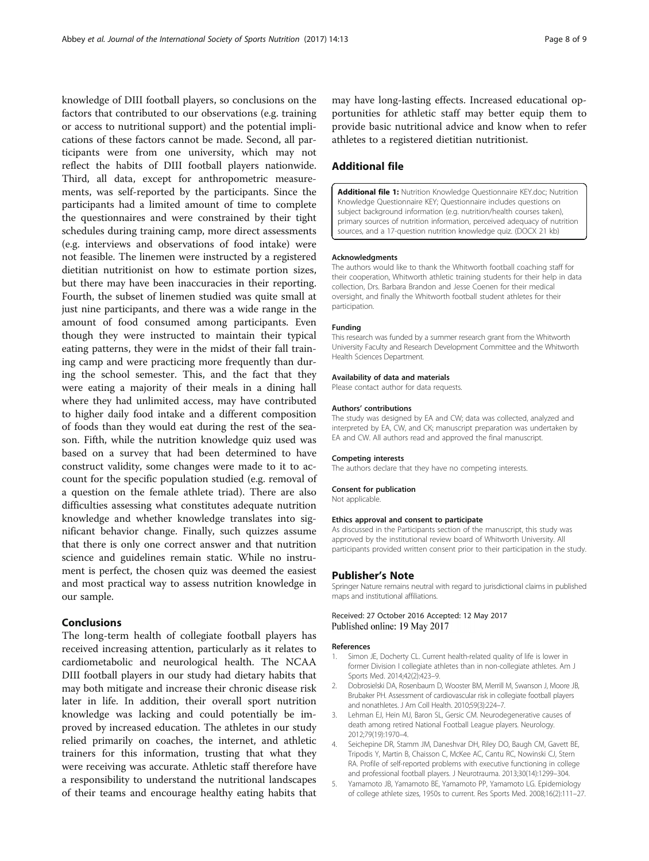<span id="page-7-0"></span>knowledge of DIII football players, so conclusions on the factors that contributed to our observations (e.g. training or access to nutritional support) and the potential implications of these factors cannot be made. Second, all participants were from one university, which may not reflect the habits of DIII football players nationwide. Third, all data, except for anthropometric measurements, was self-reported by the participants. Since the participants had a limited amount of time to complete the questionnaires and were constrained by their tight schedules during training camp, more direct assessments (e.g. interviews and observations of food intake) were not feasible. The linemen were instructed by a registered dietitian nutritionist on how to estimate portion sizes, but there may have been inaccuracies in their reporting. Fourth, the subset of linemen studied was quite small at just nine participants, and there was a wide range in the amount of food consumed among participants. Even though they were instructed to maintain their typical eating patterns, they were in the midst of their fall training camp and were practicing more frequently than during the school semester. This, and the fact that they were eating a majority of their meals in a dining hall where they had unlimited access, may have contributed to higher daily food intake and a different composition of foods than they would eat during the rest of the season. Fifth, while the nutrition knowledge quiz used was based on a survey that had been determined to have construct validity, some changes were made to it to account for the specific population studied (e.g. removal of a question on the female athlete triad). There are also difficulties assessing what constitutes adequate nutrition knowledge and whether knowledge translates into significant behavior change. Finally, such quizzes assume that there is only one correct answer and that nutrition science and guidelines remain static. While no instrument is perfect, the chosen quiz was deemed the easiest and most practical way to assess nutrition knowledge in our sample.

## Conclusions

The long-term health of collegiate football players has received increasing attention, particularly as it relates to cardiometabolic and neurological health. The NCAA DIII football players in our study had dietary habits that may both mitigate and increase their chronic disease risk later in life. In addition, their overall sport nutrition knowledge was lacking and could potentially be improved by increased education. The athletes in our study relied primarily on coaches, the internet, and athletic trainers for this information, trusting that what they were receiving was accurate. Athletic staff therefore have a responsibility to understand the nutritional landscapes of their teams and encourage healthy eating habits that may have long-lasting effects. Increased educational opportunities for athletic staff may better equip them to provide basic nutritional advice and know when to refer athletes to a registered dietitian nutritionist.

# Additional file

[Additional file 1:](dx.doi.org/10.1186/s12970-017-0170-2) Nutrition Knowledge Questionnaire KEY.doc; Nutrition Knowledge Questionnaire KEY; Questionnaire includes questions on subject background information (e.g. nutrition/health courses taken), primary sources of nutrition information, perceived adequacy of nutrition sources, and a 17-question nutrition knowledge quiz. (DOCX 21 kb)

#### Acknowledgments

The authors would like to thank the Whitworth football coaching staff for their cooperation, Whitworth athletic training students for their help in data collection, Drs. Barbara Brandon and Jesse Coenen for their medical oversight, and finally the Whitworth football student athletes for their participation.

#### Funding

This research was funded by a summer research grant from the Whitworth University Faculty and Research Development Committee and the Whitworth Health Sciences Department.

#### Availability of data and materials

Please contact author for data requests.

#### Authors' contributions

The study was designed by EA and CW; data was collected, analyzed and interpreted by EA, CW, and CK; manuscript preparation was undertaken by EA and CW. All authors read and approved the final manuscript.

#### Competing interests

The authors declare that they have no competing interests.

#### Consent for publication

Not applicable.

#### Ethics approval and consent to participate

As discussed in the Participants section of the manuscript, this study was approved by the institutional review board of Whitworth University. All participants provided written consent prior to their participation in the study.

#### Publisher's Note

Springer Nature remains neutral with regard to jurisdictional claims in published maps and institutional affiliations.

Received: 27 October 2016 Accepted: 12 May 2017 Published online: 19 May 2017

#### References

- 1. Simon JE, Docherty CL. Current health-related quality of life is lower in former Division I collegiate athletes than in non-collegiate athletes. Am J Sports Med. 2014;42(2):423–9.
- 2. Dobrosielski DA, Rosenbaum D, Wooster BM, Merrill M, Swanson J, Moore JB, Brubaker PH. Assessment of cardiovascular risk in collegiate football players and nonathletes. J Am Coll Health. 2010;59(3):224–7.
- 3. Lehman EJ, Hein MJ, Baron SL, Gersic CM. Neurodegenerative causes of death among retired National Football League players. Neurology. 2012;79(19):1970–4.
- 4. Seichepine DR, Stamm JM, Daneshvar DH, Riley DO, Baugh CM, Gavett BE, Tripodis Y, Martin B, Chaisson C, McKee AC, Cantu RC, Nowinski CJ, Stern RA. Profile of self-reported problems with executive functioning in college and professional football players. J Neurotrauma. 2013;30(14):1299–304.
- 5. Yamamoto JB, Yamamoto BE, Yamamoto PP, Yamamoto LG. Epidemiology of college athlete sizes, 1950s to current. Res Sports Med. 2008;16(2):111–27.